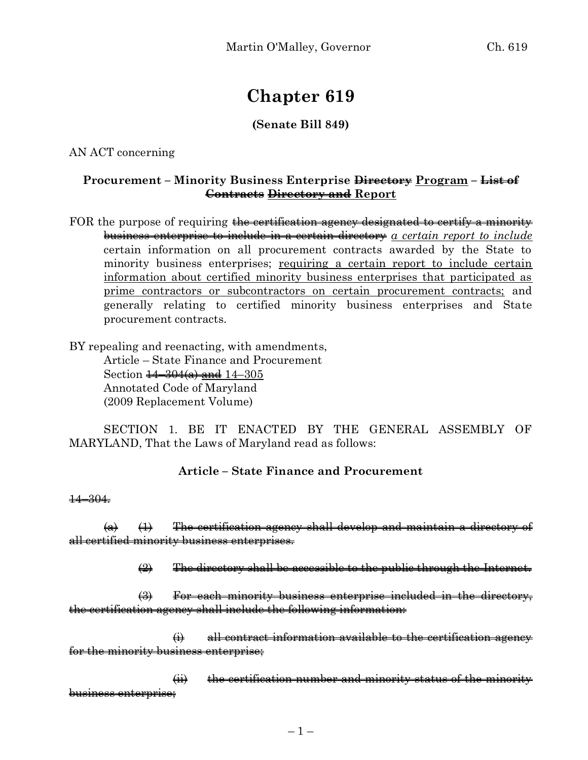# **Chapter 619**

#### **(Senate Bill 849)**

AN ACT concerning

#### **Procurement –** Minority Business Enterprise  $\overrightarrow{Birectory}$  Program –  $\overrightarrow{List-of}$ **Contracts Directory and Report**

FOR the purpose of requiring the certification agency designated to certify a minority business enterprise to include in a certain directory *a certain report to include* certain information on all procurement contracts awarded by the State to minority business enterprises; requiring a certain report to include certain information about certified minority business enterprises that participated as prime contractors or subcontractors on certain procurement contracts; and generally relating to certified minority business enterprises and State procurement contracts.

BY repealing and reenacting, with amendments,

Article – State Finance and Procurement Section  $\frac{14 - 304(a)}{a}$  and  $14 - 305$ Annotated Code of Maryland (2009 Replacement Volume)

SECTION 1. BE IT ENACTED BY THE GENERAL ASSEMBLY OF MARYLAND, That the Laws of Maryland read as follows:

### **Article – State Finance and Procurement**

#### 14–304.

 $(a)$   $(1)$  The certification agency shall develop and maintain a directory of all certified minority business enterprises.

 $\left(\frac{1}{2}\right)$  The directory shall be accessible to the public through the Internet.

(3) For each minority business enterprise included in the directory, the certification agency shall include the following information:

 $\leftrightarrow$  all contract information available to the certification agency for the minority business enterprise:

 $\overrightarrow{H}$  the certification number and minority status of the minority business enterprise;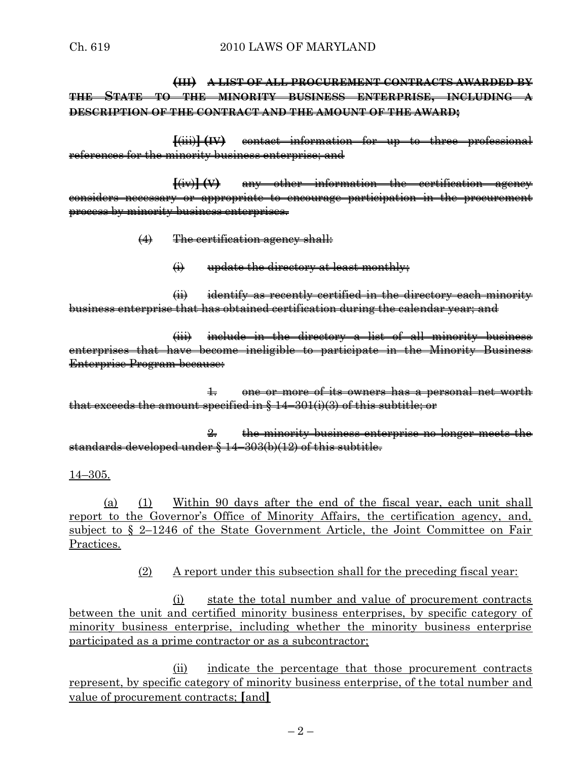## **(III) A LIST OF ALL PROCUREMENT CONTRACTS AWARDED BY THE STATE TO THE MINORITY BUSINESS ENTERPRISE, INCLUDING A DESCRIPTION OF THE CONTRACT AND THE AMOUNT OF THE AWARD;**

**[**(iii)**] (IV)** contact information for up to three professional references for the minority business enterprise; and

**[**(iv)**] (V)** any other information the certification agency considers necessary or appropriate to encourage participation in the procurement process by minority business enterprises.

- (4) The certification agency shall:
	- $\leftrightarrow$  update the directory at least monthly;

(ii) identify as recently certified in the directory each minority business enterprise that has obtained certification during the calendar year; and

(iii) include in the directory a list of all minority business enterprises that have become ineligible to participate in the Minority Business Enterprise Program because:

 $\pm$  one or more of its owners has a personal net worth that exceeds the amount specified in  $\S 14-301(i)(3)$  of this subtitle; or

2. the minority business enterprise no longer meets the standards developed under § 14–303(b)(12) of this subtitle.

14–305.

(a) (1) Within 90 days after the end of the fiscal year, each unit shall report to the Governor's Office of Minority Affairs, the certification agency, and, subject to § 2–1246 of the State Government Article, the Joint Committee on Fair Practices.

(2) A report under this subsection shall for the preceding fiscal year:

(i) state the total number and value of procurement contracts between the unit and certified minority business enterprises, by specific category of minority business enterprise, including whether the minority business enterprise participated as a prime contractor or as a subcontractor;

(ii) indicate the percentage that those procurement contracts represent, by specific category of minority business enterprise, of the total number and value of procurement contracts; **[**and**]**